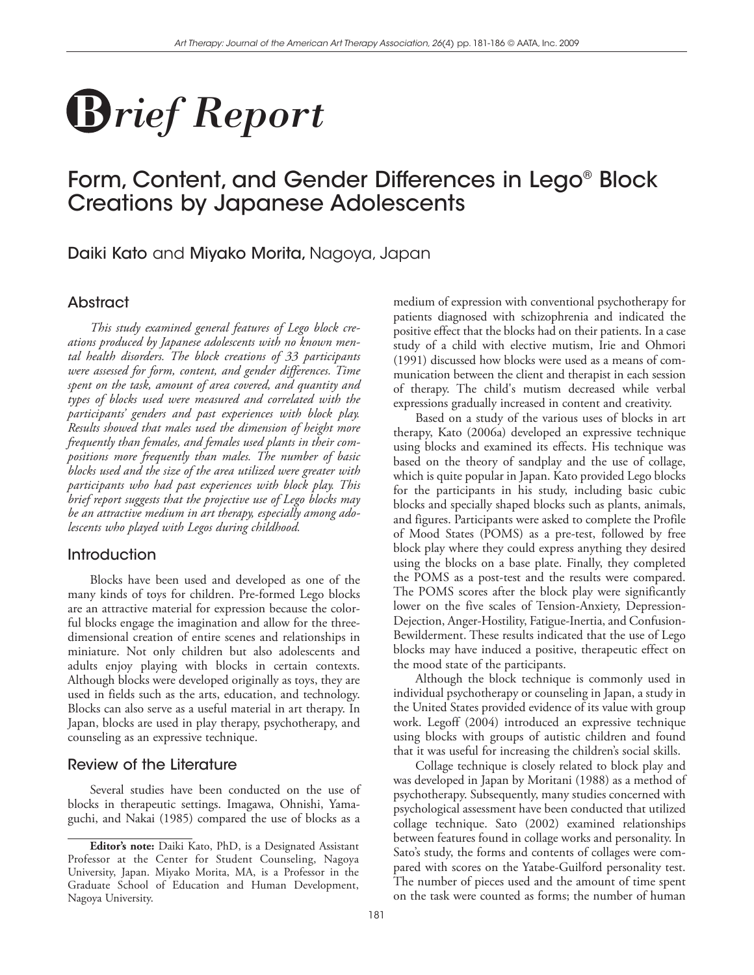# **B** *rief Report*

# Form, Content, and Gender Differences in Lego® Block Creations by Japanese Adolescents

Daiki Kato and Miyako Morita, Nagoya, Japan

### Abstract

*This study examined general features of Lego block creations produced by Japanese adolescents with no known mental health disorders. The block creations of 33 participants were assessed for form, content, and gender differences. Time spent on the task, amount of area covered, and quantity and types of blocks used were measured and correlated with the participants' genders and past experiences with block play. Results showed that males used the dimension of height more frequently than females, and females used plants in their compositions more frequently than males. The number of basic blocks used and the size of the area utilized were greater with participants who had past experiences with block play. This brief report suggests that the projective use of Lego blocks may be an attractive medium in art therapy, especially among adolescents who played with Legos during childhood.* 

### **Introduction**

Blocks have been used and developed as one of the many kinds of toys for children. Pre-formed Lego blocks are an attractive material for expression because the colorful blocks engage the imagination and allow for the threedimensional creation of entire scenes and relationships in miniature. Not only children but also adolescents and adults enjoy playing with blocks in certain contexts. Although blocks were developed originally as toys, they are used in fields such as the arts, education, and technology. Blocks can also serve as a useful material in art therapy. In Japan, blocks are used in play therapy, psychotherapy, and counseling as an expressive technique.

# Review of the Literature

Several studies have been conducted on the use of blocks in therapeutic settings. Imagawa, Ohnishi, Yamaguchi, and Nakai (1985) compared the use of blocks as a Dejection, Anger-Hostility, Fatigue-Inertia, and Confusion-Bewilderment. These results indicated that the use of Lego blocks may have induced a positive, therapeutic effect on the mood state of the participants. Although the block technique is commonly used in

individual psychotherapy or counseling in Japan, a study in the United States provided evidence of its value with group work. Legoff (2004) introduced an expressive technique using blocks with groups of autistic children and found that it was useful for increasing the children's social skills.

medium of expression with conventional psychotherapy for patients diagnosed with schizophrenia and indicated the positive effect that the blocks had on their patients. In a case study of a child with elective mutism, Irie and Ohmori (1991) discussed how blocks were used as a means of communication between the client and therapist in each session of therapy. The child's mutism decreased while verbal expressions gradually increased in content and creativity. Based on a study of the various uses of blocks in art therapy, Kato (2006a) developed an expressive technique using blocks and examined its effects. His technique was based on the theory of sandplay and the use of collage, which is quite popular in Japan. Kato provided Lego blocks for the participants in his study, including basic cubic blocks and specially shaped blocks such as plants, animals, and figures. Participants were asked to complete the Profile of Mood States (POMS) as a pre-test, followed by free block play where they could express anything they desired using the blocks on a base plate. Finally, they completed the POMS as a post-test and the results were compared. The POMS scores after the block play were significantly lower on the five scales of Tension-Anxiety, Depression-

Collage technique is closely related to block play and was developed in Japan by Moritani (1988) as a method of psychotherapy. Subsequently, many studies concerned with psychological assessment have been conducted that utilized collage technique. Sato (2002) examined relationships between features found in collage works and personality. In Sato's study, the forms and contents of collages were compared with scores on the Yatabe-Guilford personality test. The number of pieces used and the amount of time spent on the task were counted as forms; the number of human

**Editor's note:** Daiki Kato, PhD, is a Designated Assistant Professor at the Center for Student Counseling, Nagoya University, Japan. Miyako Morita, MA, is a Professor in the Graduate School of Education and Human Development, Nagoya University.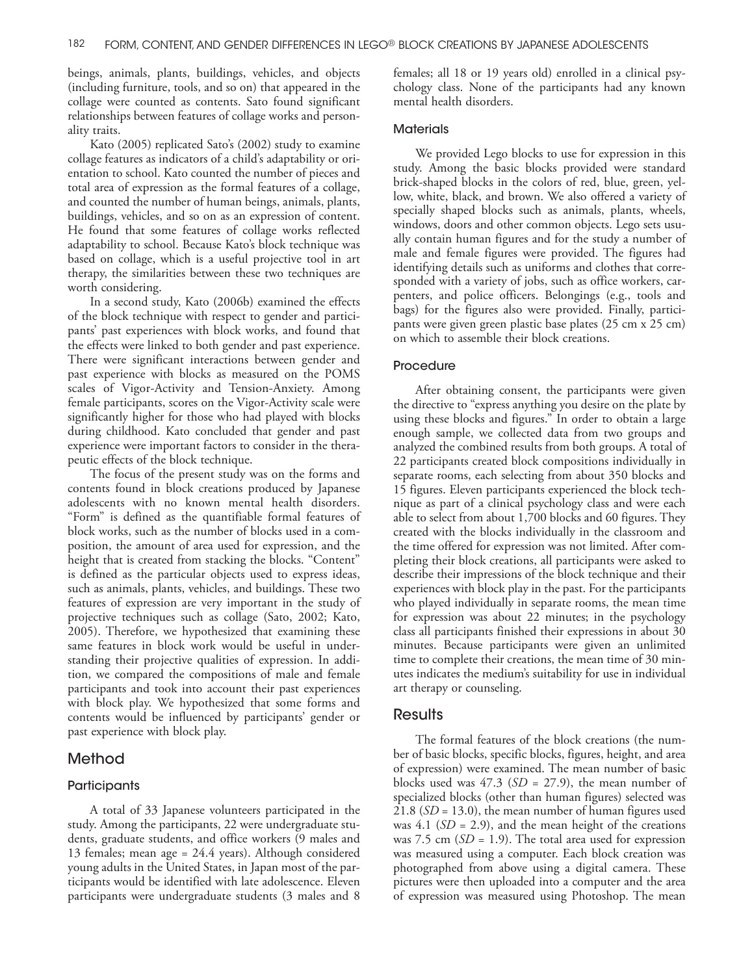beings, animals, plants, buildings, vehicles, and objects (including furniture, tools, and so on) that appeared in the collage were counted as contents. Sato found significant relationships between features of collage works and personality traits.

Kato (2005) replicated Sato's (2002) study to examine collage features as indicators of a child's adaptability or orientation to school. Kato counted the number of pieces and total area of expression as the formal features of a collage, and counted the number of human beings, animals, plants, buildings, vehicles, and so on as an expression of content. He found that some features of collage works reflected adaptability to school. Because Kato's block technique was based on collage, which is a useful projective tool in art therapy, the similarities between these two techniques are worth considering.

In a second study, Kato (2006b) examined the effects of the block technique with respect to gender and participants' past experiences with block works, and found that the effects were linked to both gender and past experience. There were significant interactions between gender and past experience with blocks as measured on the POMS scales of Vigor-Activity and Tension-Anxiety. Among female participants, scores on the Vigor-Activity scale were significantly higher for those who had played with blocks during childhood. Kato concluded that gender and past experience were important factors to consider in the therapeutic effects of the block technique.

The focus of the present study was on the forms and contents found in block creations produced by Japanese adolescents with no known mental health disorders. "Form" is defined as the quantifiable formal features of block works, such as the number of blocks used in a composition, the amount of area used for expression, and the height that is created from stacking the blocks. "Content" is defined as the particular objects used to express ideas, such as animals, plants, vehicles, and buildings. These two features of expression are very important in the study of projective techniques such as collage (Sato, 2002; Kato, 2005). Therefore, we hypothesized that examining these same features in block work would be useful in understanding their projective qualities of expression. In addition, we compared the compositions of male and female participants and took into account their past experiences with block play. We hypothesized that some forms and contents would be influenced by participants' gender or past experience with block play.

# Method

## **Participants**

A total of 33 Japanese volunteers participated in the study. Among the participants, 22 were undergraduate students, graduate students, and office workers (9 males and 13 females; mean age = 24.4 years). Although considered young adults in the United States, in Japan most of the participants would be identified with late adolescence. Eleven participants were undergraduate students (3 males and 8

females; all 18 or 19 years old) enrolled in a clinical psychology class. None of the participants had any known mental health disorders.

#### **Materials**

We provided Lego blocks to use for expression in this study. Among the basic blocks provided were standard brick-shaped blocks in the colors of red, blue, green, yellow, white, black, and brown. We also offered a variety of specially shaped blocks such as animals, plants, wheels, windows, doors and other common objects. Lego sets usually contain human figures and for the study a number of male and female figures were provided. The figures had identifying details such as uniforms and clothes that corresponded with a variety of jobs, such as office workers, carpenters, and police officers. Belongings (e.g., tools and bags) for the figures also were provided. Finally, participants were given green plastic base plates (25 cm x 25 cm) on which to assemble their block creations.

#### Procedure

After obtaining consent, the participants were given the directive to "express anything you desire on the plate by using these blocks and figures." In order to obtain a large enough sample, we collected data from two groups and analyzed the combined results from both groups. A total of 22 participants created block compositions individually in separate rooms, each selecting from about 350 blocks and 15 figures. Eleven participants experienced the block technique as part of a clinical psychology class and were each able to select from about 1,700 blocks and 60 figures. They created with the blocks individually in the classroom and the time offered for expression was not limited. After completing their block creations, all participants were asked to describe their impressions of the block technique and their experiences with block play in the past. For the participants who played individually in separate rooms, the mean time for expression was about 22 minutes; in the psychology class all participants finished their expressions in about 30 minutes. Because participants were given an unlimited time to complete their creations, the mean time of 30 minutes indicates the medium's suitability for use in individual art therapy or counseling.

## Results

The formal features of the block creations (the number of basic blocks, specific blocks, figures, height, and area of expression) were examined. The mean number of basic blocks used was 47.3 (*SD* = 27.9), the mean number of specialized blocks (other than human figures) selected was 21.8 (*SD* = 13.0), the mean number of human figures used was 4.1 (*SD* = 2.9), and the mean height of the creations was 7.5 cm (*SD* = 1.9). The total area used for expression was measured using a computer. Each block creation was photographed from above using a digital camera. These pictures were then uploaded into a computer and the area of expression was measured using Photoshop. The mean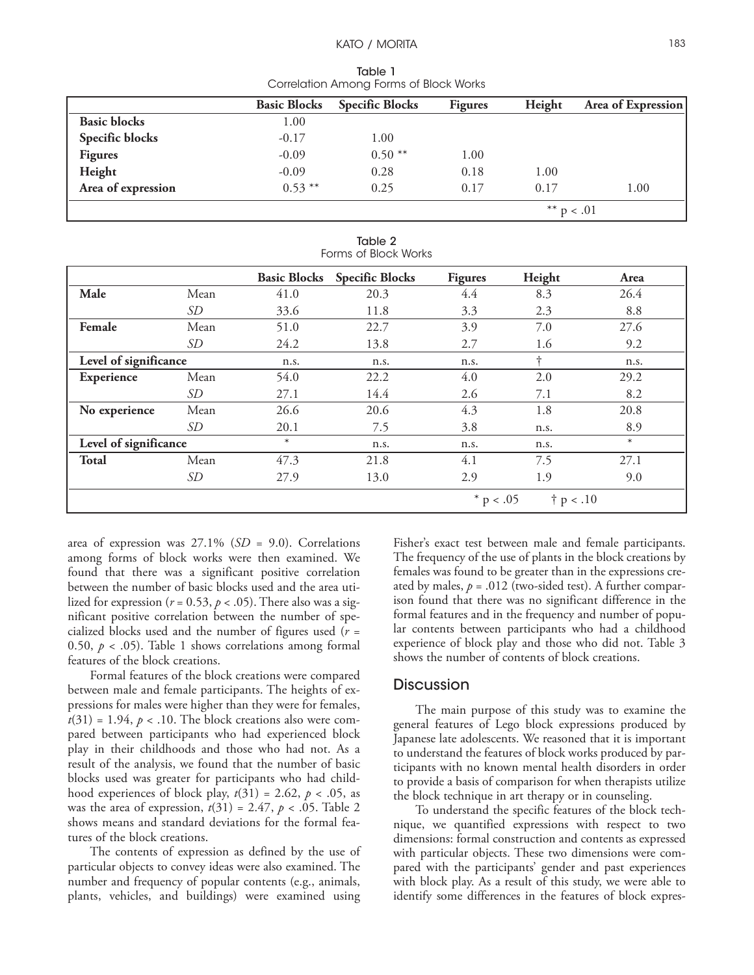Table 1 Correlation Among Forms of Block Works

|                     | <b>Basic Blocks</b> | <b>Specific Blocks</b> | <b>Figures</b> | Height | Area of Expression |  |
|---------------------|---------------------|------------------------|----------------|--------|--------------------|--|
| <b>Basic blocks</b> | 1.00                |                        |                |        |                    |  |
| Specific blocks     | $-0.17$             | 1.00                   |                |        |                    |  |
| <b>Figures</b>      | $-0.09$             | $0.50**$               | 1.00           |        |                    |  |
| Height              | $-0.09$             | 0.28                   | 0.18           | 1.00   |                    |  |
| Area of expression  | $0.53***$           | 0.25                   | 0.17           | 0.17   | 1.00               |  |
|                     |                     |                        | ** $p < .01$   |        |                    |  |

Table 2 Forms of Block Works

|                       |                 |                                  | <b>Basic Blocks</b> Specific Blocks | <b>Figures</b> | Height | Area   |  |
|-----------------------|-----------------|----------------------------------|-------------------------------------|----------------|--------|--------|--|
| Male                  | Mean            | 41.0                             | 20.3                                | 4.4            | 8.3    | 26.4   |  |
|                       | SD <sub>-</sub> | 33.6                             | 11.8                                | 3.3            | 2.3    | 8.8    |  |
| Female                | Mean            | 51.0                             | 22.7                                | 3.9            | 7.0    | 27.6   |  |
|                       | SD <sub>-</sub> | 24.2                             | 13.8                                | 2.7            | 1.6    | 9.2    |  |
| Level of significance |                 | n.s.                             | n.s.                                | n.s.           |        | n.s.   |  |
| Experience            | Mean            | 54.0                             | 22.2                                | 4.0            | 2.0    | 29.2   |  |
|                       | SD <sub>-</sub> | 27.1                             | 14.4                                | 2.6            | 7.1    | 8.2    |  |
| No experience         | Mean            | 26.6                             | 20.6                                | 4.3            | 1.8    | 20.8   |  |
|                       | SD              | 20.1                             | 7.5                                 | 3.8            | n.s.   | 8.9    |  |
| Level of significance |                 | $\ast$                           | n.s.                                | n.s.           | n.s.   | $\ast$ |  |
| <b>Total</b>          | Mean            | 47.3                             | 21.8                                | 4.1            | 7.5    | 27.1   |  |
|                       | SD <sub>-</sub> | 27.9                             | 13.0                                | 2.9            | 1.9    | 9.0    |  |
|                       |                 | * $p < .05$<br>$\dagger p < .10$ |                                     |                |        |        |  |

area of expression was 27.1% (*SD* = 9.0). Correlations among forms of block works were then examined. We found that there was a significant positive correlation between the number of basic blocks used and the area utilized for expression ( $r = 0.53$ ,  $p < .05$ ). There also was a significant positive correlation between the number of specialized blocks used and the number of figures used (*r* = 0.50,  $p < .05$ ). Table 1 shows correlations among formal features of the block creations.

Formal features of the block creations were compared between male and female participants. The heights of expressions for males were higher than they were for females,  $t(31) = 1.94$ ,  $p < .10$ . The block creations also were compared between participants who had experienced block play in their childhoods and those who had not. As a result of the analysis, we found that the number of basic blocks used was greater for participants who had childhood experiences of block play,  $t(31) = 2.62$ ,  $p < .05$ , as was the area of expression,  $t(31) = 2.47$ ,  $p < .05$ . Table 2 shows means and standard deviations for the formal features of the block creations.

The contents of expression as defined by the use of particular objects to convey ideas were also examined. The number and frequency of popular contents (e.g., animals, plants, vehicles, and buildings) were examined using

Fisher's exact test between male and female participants. The frequency of the use of plants in the block creations by females was found to be greater than in the expressions created by males,  $p = .012$  (two-sided test). A further comparison found that there was no significant difference in the formal features and in the frequency and number of popular contents between participants who had a childhood experience of block play and those who did not. Table 3 shows the number of contents of block creations.

#### **Discussion**

The main purpose of this study was to examine the general features of Lego block expressions produced by Japanese late adolescents. We reasoned that it is important to understand the features of block works produced by participants with no known mental health disorders in order to provide a basis of comparison for when therapists utilize the block technique in art therapy or in counseling.

To understand the specific features of the block technique, we quantified expressions with respect to two dimensions: formal construction and contents as expressed with particular objects. These two dimensions were compared with the participants' gender and past experiences with block play. As a result of this study, we were able to identify some differences in the features of block expres-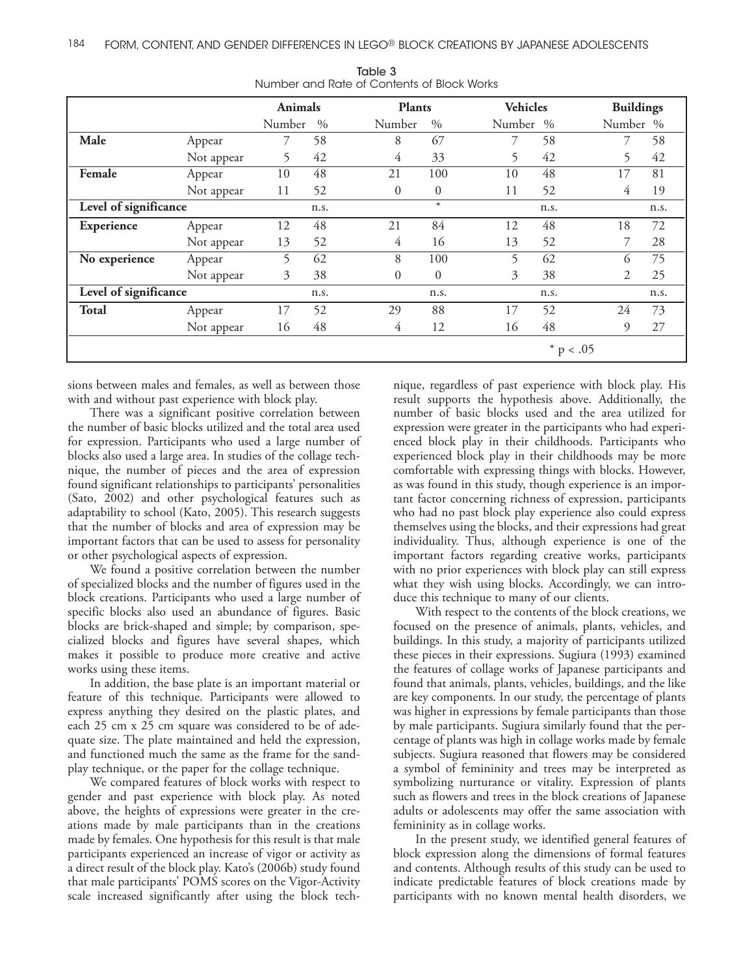|                       |            | <b>Animals</b> |               |                | <b>Plants</b> |             | <b>Vehicles</b> |         | <b>Buildings</b> |  |
|-----------------------|------------|----------------|---------------|----------------|---------------|-------------|-----------------|---------|------------------|--|
|                       |            | Number         | $\frac{0}{0}$ | Number         | $\frac{0}{0}$ | Number      | $\%$            | Number  | $\frac{0}{0}$    |  |
| Male                  | Appear     | 7              | 58            | 8              | 67            |             | 58              | 7       | 58               |  |
|                       | Not appear | 5              | 42            | 4              | 33            |             | 42              | 5       | 42               |  |
| Female                | Appear     | 10             | 48            | 21             | 100           | 10          | 48              | 17      | 81               |  |
|                       | Not appear | 11             | 52            | $\overline{0}$ | $\theta$      | 11          | 52              | 4       | 19               |  |
| Level of significance |            |                | n.s.          |                | $\ast$        |             | n.s.            |         | n.s.             |  |
| Experience            | Appear     | 12             | 48            | 21             | 84            | 12          | 48              | 18      | 72               |  |
|                       | Not appear | 13             | 52            | 4              | 16            | 13          | 52              | 7       | 28               |  |
| No experience         | Appear     | 5              | 62            | 8              | 100           | 5           | 62              | $\circ$ | 75               |  |
|                       | Not appear | 3              | 38            | $\theta$       | $\Omega$      | 3           | 38              | 2       | 25               |  |
| Level of significance |            |                | n.s.          |                | n.s.          |             | n.s.            |         | n.s.             |  |
| <b>Total</b>          | Appear     | 17             | 52            | 29             | 88            | 17          | 52              | 24      | 73               |  |
|                       | Not appear | 16             | 48            | $\overline{4}$ | 12            | 16          | 48              | 9       | 27               |  |
|                       |            |                |               |                |               | * $p < .05$ |                 |         |                  |  |

Table 3 Number and Rate of Contents of Block Works

sions between males and females, as well as between those with and without past experience with block play.

There was a significant positive correlation between the number of basic blocks utilized and the total area used for expression. Participants who used a large number of blocks also used a large area. In studies of the collage technique, the number of pieces and the area of expression found significant relationships to participants' personalities (Sato, 2002) and other psychological features such as adaptability to school (Kato, 2005). This research suggests that the number of blocks and area of expression may be important factors that can be used to assess for personality or other psychological aspects of expression.

We found a positive correlation between the number of specialized blocks and the number of figures used in the block creations. Participants who used a large number of specific blocks also used an abundance of figures. Basic blocks are brick-shaped and simple; by comparison, specialized blocks and figures have several shapes, which makes it possible to produce more creative and active works using these items.

In addition, the base plate is an important material or feature of this technique. Participants were allowed to express anything they desired on the plastic plates, and each 25 cm x 25 cm square was considered to be of adequate size. The plate maintained and held the expression, and functioned much the same as the frame for the sandplay technique, or the paper for the collage technique.

We compared features of block works with respect to gender and past experience with block play. As noted above, the heights of expressions were greater in the creations made by male participants than in the creations made by females. One hypothesis for this result is that male participants experienced an increase of vigor or activity as a direct result of the block play. Kato's (2006b) study found that male participants' POMS scores on the Vigor-Activity scale increased significantly after using the block tech-

nique, regardless of past experience with block play. His result supports the hypothesis above. Additionally, the number of basic blocks used and the area utilized for expression were greater in the participants who had experienced block play in their childhoods. Participants who experienced block play in their childhoods may be more comfortable with expressing things with blocks. However, as was found in this study, though experience is an important factor concerning richness of expression, participants who had no past block play experience also could express themselves using the blocks, and their expressions had great individuality. Thus, although experience is one of the important factors regarding creative works, participants with no prior experiences with block play can still express what they wish using blocks. Accordingly, we can introduce this technique to many of our clients.

With respect to the contents of the block creations, we focused on the presence of animals, plants, vehicles, and buildings. In this study, a majority of participants utilized these pieces in their expressions. Sugiura (1993) examined the features of collage works of Japanese participants and found that animals, plants, vehicles, buildings, and the like are key components. In our study, the percentage of plants was higher in expressions by female participants than those by male participants. Sugiura similarly found that the percentage of plants was high in collage works made by female subjects. Sugiura reasoned that flowers may be considered a symbol of femininity and trees may be interpreted as symbolizing nurturance or vitality. Expression of plants such as flowers and trees in the block creations of Japanese adults or adolescents may offer the same association with femininity as in collage works.

In the present study, we identified general features of block expression along the dimensions of formal features and contents. Although results of this study can be used to indicate predictable features of block creations made by participants with no known mental health disorders, we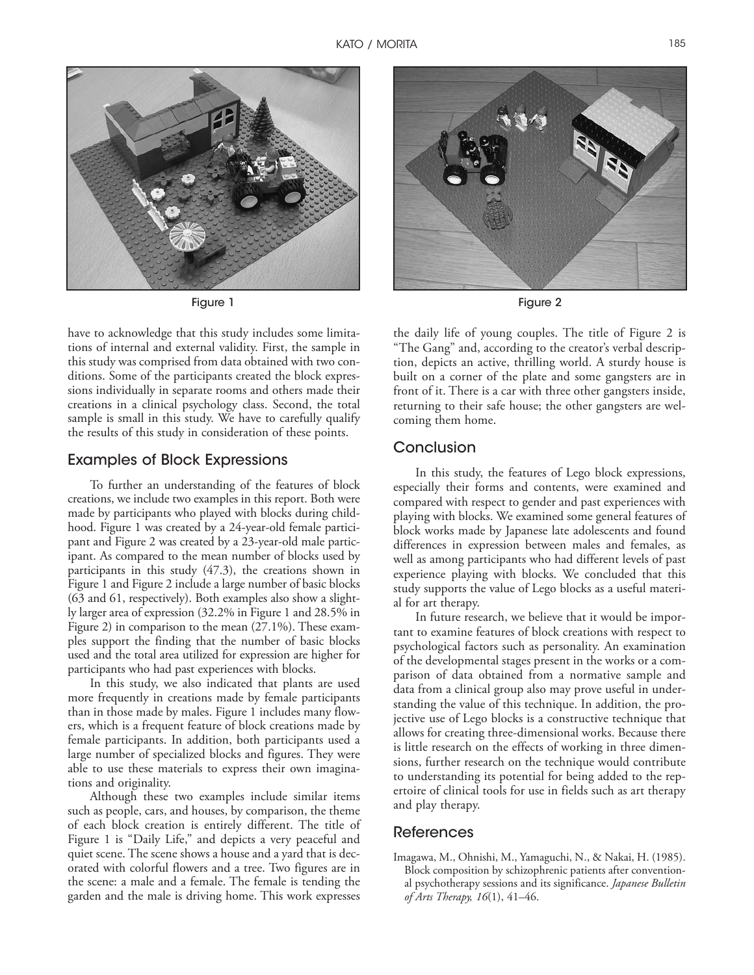

have to acknowledge that this study includes some limitations of internal and external validity. First, the sample in this study was comprised from data obtained with two conditions. Some of the participants created the block expressions individually in separate rooms and others made their creations in a clinical psychology class. Second, the total sample is small in this study. We have to carefully qualify the results of this study in consideration of these points.

#### Examples of Block Expressions

To further an understanding of the features of block creations, we include two examples in this report. Both were made by participants who played with blocks during childhood. Figure 1 was created by a 24-year-old female participant and Figure 2 was created by a 23-year-old male participant. As compared to the mean number of blocks used by participants in this study (47.3), the creations shown in Figure 1 and Figure 2 include a large number of basic blocks (63 and 61, respectively). Both examples also show a slightly larger area of expression (32.2% in Figure 1 and 28.5% in Figure 2) in comparison to the mean (27.1%). These examples support the finding that the number of basic blocks used and the total area utilized for expression are higher for participants who had past experiences with blocks.

In this study, we also indicated that plants are used more frequently in creations made by female participants than in those made by males. Figure 1 includes many flowers, which is a frequent feature of block creations made by female participants. In addition, both participants used a large number of specialized blocks and figures. They were able to use these materials to express their own imaginations and originality.

Although these two examples include similar items such as people, cars, and houses, by comparison, the theme of each block creation is entirely different. The title of Figure 1 is "Daily Life," and depicts a very peaceful and quiet scene. The scene shows a house and a yard that is decorated with colorful flowers and a tree. Two figures are in the scene: a male and a female. The female is tending the garden and the male is driving home. This work expresses



Figure 1 **Figure 2** Figure 2

the daily life of young couples. The title of Figure 2 is "The Gang" and, according to the creator's verbal description, depicts an active, thrilling world. A sturdy house is built on a corner of the plate and some gangsters are in front of it. There is a car with three other gangsters inside, returning to their safe house; the other gangsters are welcoming them home.

### Conclusion

In this study, the features of Lego block expressions, especially their forms and contents, were examined and compared with respect to gender and past experiences with playing with blocks. We examined some general features of block works made by Japanese late adolescents and found differences in expression between males and females, as well as among participants who had different levels of past experience playing with blocks. We concluded that this study supports the value of Lego blocks as a useful material for art therapy.

In future research, we believe that it would be important to examine features of block creations with respect to psychological factors such as personality. An examination of the developmental stages present in the works or a comparison of data obtained from a normative sample and data from a clinical group also may prove useful in understanding the value of this technique. In addition, the projective use of Lego blocks is a constructive technique that allows for creating three-dimensional works. Because there is little research on the effects of working in three dimensions, further research on the technique would contribute to understanding its potential for being added to the rep er toire of clinical tools for use in fields such as art therapy and play therapy.

#### References

Imagawa, M., Ohnishi, M., Yamaguchi, N., & Nakai, H. (1985). Block composition by schizophrenic patients after conventional psychotherapy sessions and its significance. *Japanese Bulletin of Arts Therapy, 16*(1), 41–46.